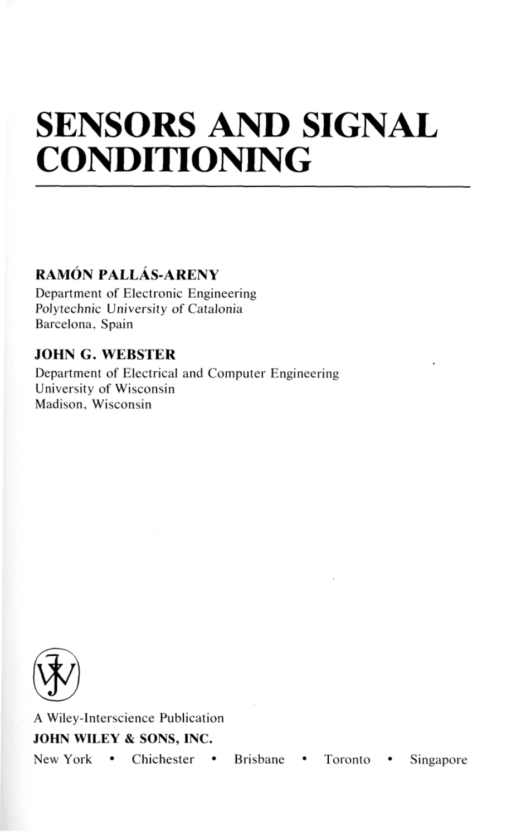# **SENSORS AND SIGNAL CONDITIONING**

# **RAMON PALLAS-ARENY**

Department of Electronic Engineering Polytechnic University of Catalonia Barcelona, Spain

## **JOHN G. WEBSTER**

Department of Electrical and Computer Engineering University of Wisconsin Madison, Wisconsin



A Wiley-Interscience Publication **JOHN WILEY** & **SONS, INC.**  New York • Chichester • Brisbane • Toronto • Singapore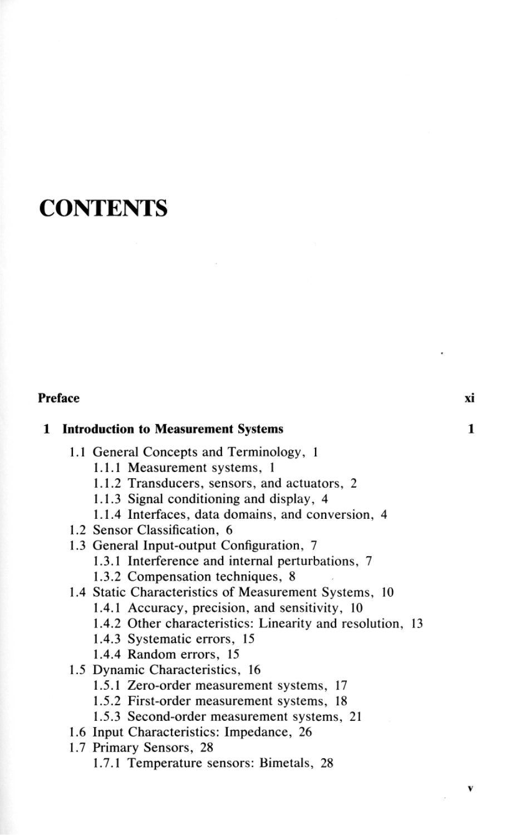# **CONTENTS**

### **Preface** xi

#### **1 Introduction to Measurement Systems 1**

- 1.1 General Concepts and Terminology, 1
	- **1.1.1** Measurement systems, 1
	- 1.1.2 Transducers, sensors, and actuators, 2
	- 1.1.3 Signal conditioning and display, 4
	- 1.1.4 Interfaces, data domains, and conversion, 4
- 1.2 Sensor Classification, 6
- 1.3 General Input-output Configuration, 7
	- 1.3.1 Interference and internal perturbations, 7
	- 1.3.2 Compensation techniques, 8
- 1.4 Static Characteristics of Measurement Systems, 10
	- 1.4.1 Accuracy, precision, and sensitivity, 10
	- 1.4.2 Other characteristics: Linearity and resolution, 13
	- 1.4.3 Systematic errors, 15
	- 1.4.4 Random errors, 15
- 1.5 Dynamic Characteristics, 16
	- 1.5.1 Zero-order measurement systems, 17
	- 1.5.2 First-order measurement systems, 18
	- 1.5.3 Second-order measurement systems, 21
- 1.6 Input Characteristics: Impedance, 26
- 1.7 Primary Sensors, 28
	- 1.7.1 Temperature sensors: Bimetals, 28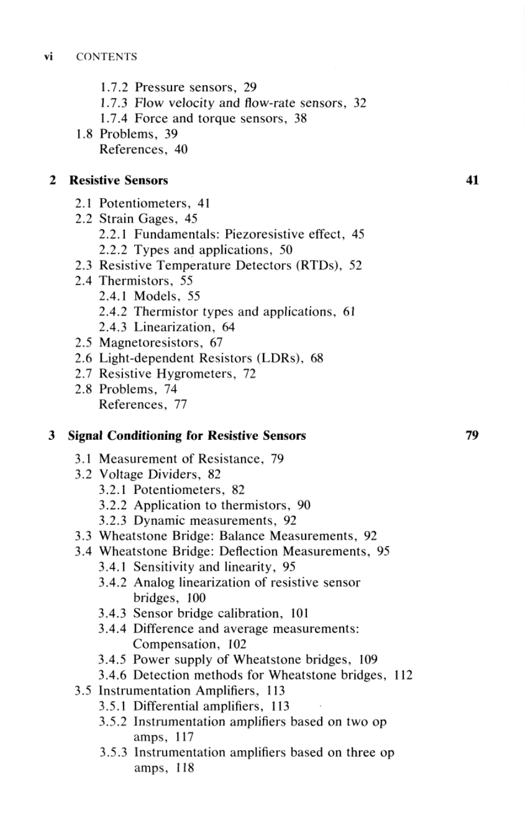- 1.7.2 Pressure sensors, 29
- 1.7.3 Flow velocity and flow-rate sensors, 32
- 1.7.4 Force and torque sensors, 38
- 1.8 Problems, 39 References, 40

#### $\mathbf{2}$ **Resistive Sensors**

- 2.1 Potentiometers, 41
- 2.2 Strain Gages, 45 2.2.1 Fundamentals: Piezoresistive effect, 45 2.2.2 Types and applications, 50
- 2.3 Resistive Temperature Detectors (RTDs), 52
- 2.4 Thermistors, 55
	- 2.4.1 Models, 55
	- 2.4.2 Thermistor types and applications, 61
	- 2.4.3 Linearization, 64
- 2.5 Magnetoresistors, 67
- 2.6 Light-dependent Resistors (LDRs), 68
- 2.7 Resistive Hygrometers, 72
- 2.8 Problems, 74 References, 77

#### **Signal Conditioning for Resistive Sensors**

- 3.1 Measurement of Resistance, 79
- 3.2 Voltage Dividers, 82
	- 3.2.1 Potentiometers, 82
	- 3.2.2 Application to thermistors, 90
	- 3.2.3 Dynamic measurements, 92
- 3.3 Wheatstone Bridge: Balance Measurements, 92
- 3.4 Wheatstone Bridge: Deflection Measurements, 95
	- 3.4.1 Sensitivity and linearity, 95
	- 3.4.2 Analog linearization of resistive sensor bridges, 100
	- 3.4.3 Sensor bridge calibration, 101
	- 3.4.4 Difference and average measurements: Compensation, 102
	- 3.4.5 Power supply of Wheatstone bridges, 109
	- 3.4.6 Detection methods for Wheatstone bridges, 112
- 3.5 Instrumentation Amplifiers, 113
	- 3.5.1 Differential amplifiers, 113
	- 3.5.2 Instrumentation amplifiers based on two op amps, 117
	- 3.5.3 Instrumentation amplifiers based on three op amps, 118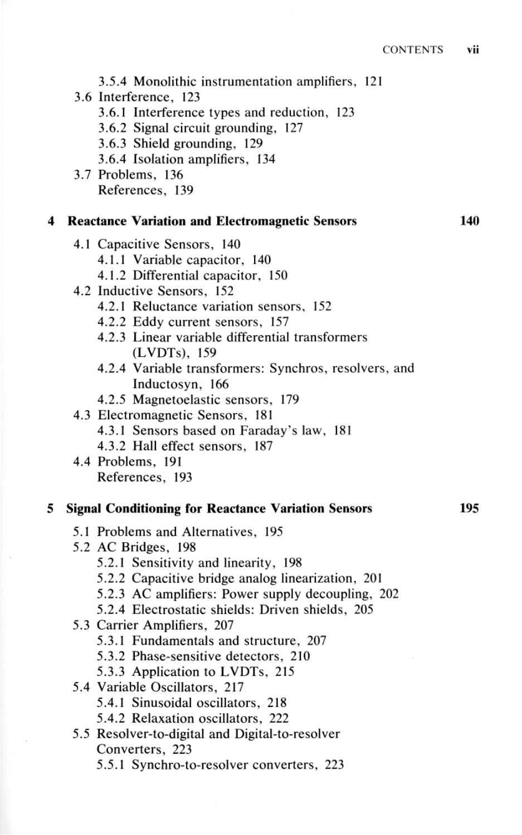- 3.5.4 Monolithic instrumentation amplifiers, 121
- 3.6 Interference, 123
	- 3.6.1 Interference types and reduction, 123
	- 3.6.2 Signal circuit grounding, 127
	- 3.6.3 Shield grounding, 129
	- 3.6.4 Isolation amplifiers, 134
- 3.7 Problems, 136 References, 139

#### **4 Reactance Variation and Electromagnetic Sensors 140**

- 4.1 Capacitive Sensors, 140
	- 4.1.1 Variable capacitor, 140
	- 4.1.2 Differential capacitor, 150
- 4.2 Inductive Sensors, 152
	- 4.2.1 Reluctance variation sensors, 152
	- 4.2.2 Eddy current sensors, 157
	- 4.2.3 Linear variable differential transformers (LVDTs), 159
	- 4.2.4 Variable transformers: Synchros, resolvers, and Inductosyn, 166
	- 4.2.5 Magnetoelastic sensors, 179
- 4.3 Electromagnetic Sensors, 181
	- 4.3.1 Sensors based on Faraday's law, 181
	- 4.3.2 Hall effect sensors, 187
- 4.4 Problems, 191 References, 193

### **5 Signal Conditioning for Reactance Variation Sensors 195**

- 5.1 Problems and Alternatives, 195
- 5.2 AC Bridges, 198
	- 5.2.1 Sensitivity and linearity, 198
	- 5.2.2 Capacitive bridge analog linearization, 201
	- 5.2.3 AC amplifiers: Power supply decoupling, 202
	- 5.2.4 Electrostatic shields: Driven shields, 205
- 5.3 Carrier Amplifiers, 207
	- 5.3.1 Fundamentals and structure, 207
	- 5.3.2 Phase-sensitive detectors, 210
	- 5.3.3 Application to LVDTs, 215
- 5.4 Variable Oscillators, 217
	- 5.4.1 Sinusoidal oscillators, 218
	- 5.4.2 Relaxation oscillators, 222
- 5.5 Resolver-to-digital and Digital-to-resolver Converters, 223
	- 5.5.1 Synchro-to-resolver converters, 223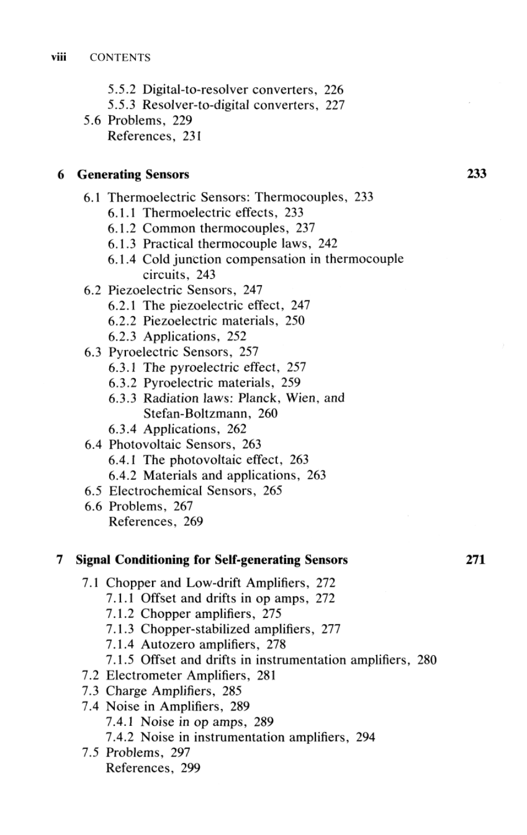- 5.5.2 Digital-to-resolver converters, 226
- 5.5.3 Resolver-to-digital converters, 227
- 5.6 Problems, 229 References, 231

#### **6 Generating Sensors 233**

- 6.1 Thermoelectric Sensors: Thermocouples, 233
	- 6.1.1 Thermoelectric effects, 233
	- 6.1.2 Common thermocouples, 237
	- 6.1.3 Practical thermocouple laws, 242
	- 6.1.4 Cold junction compensation in thermocouple circuits, 243
- 6.2 Piezoelectric Sensors, 247
	- 6.2.1 The piezoelectric effect, 247
	- 6.2.2 Piezoelectric materials, 250
	- 6.2.3 Applications, 252
- 6.3 Pyroelectric Sensors, 257
	- 6.3.1 The pyroelectric effect, 257
	- 6.3.2 Pyroelectric materials, 259
	- 6.3.3 Radiation laws: Planck, Wien, and Stefan-Boltzmann, 260
	- 6.3.4 Applications, 262
- 6.4 Photovoltaic Sensors, 263 6.4.1 The photovoltaic effect, 263
	- 6.4.2 Materials and applications, 263
- 6.5 Electrochemical Sensors, 265
- 6.6 Problems, 267 References, 269

#### **7 Signal Conditioning for Self-generating Sensors 271**

- 7.1 Chopper and Low-drift Amplifiers, 272
	- 7.1.1 Offset and drifts in op amps, 272
	- 7.1.2 Chopper amplifiers, 275
	- 7.1.3 Chopper-stabilized amplifiers, 277
	- 7.1.4 Autozero amplifiers, 278
	- 7.1.5 Offset and drifts in instrumentation amplifiers, 280
- 7.2 Electrometer Amplifiers, 281
- 7.3 Charge Amplifiers, 285
- 7.4 Noise in Amplifiers, 289 7.4.1 Noise in op amps, 289 7.4.2 Noise in instrumentation amplifiers, 294
- 7.5 Problems, 297 References, 299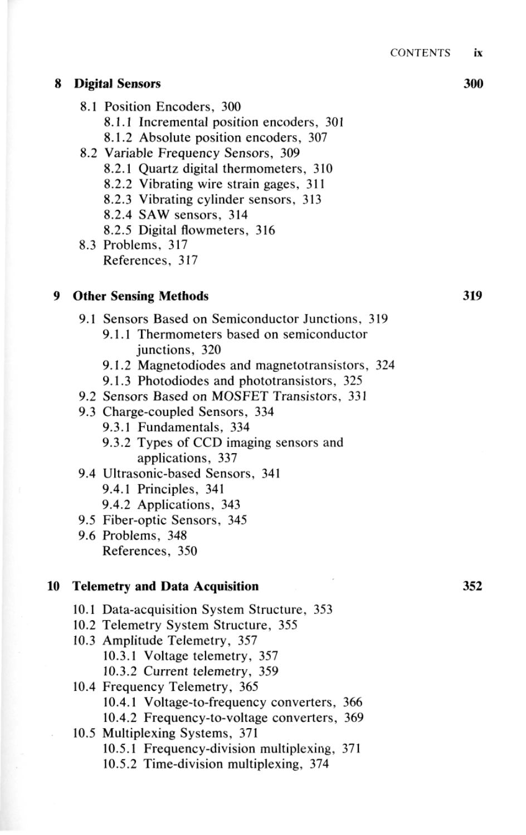#### **8 Digital Sensors 300**

- 8.1 Position Encoders, 300
	- 8.1.1 Incremental position encoders, 301
	- 8.1.2 Absolute position encoders, 307
- 8.2 Variable Frequency Sensors, 309
	- 8.2.1 Quartz digital thermometers, 310
	- 8.2.2 Vibrating wire strain gages, 311
	- 8.2.3 Vibrating cylinder sensors, 313
	- 8.2.4 SAW sensors, 314
	- 8.2.5 Digital flowmeters, 316
- 8.3 Problems, 317 References, 317

### **9 Other Sensing Methods 319**

- 9.1 Sensors Based on Semiconductor Junctions, 319
	- 9.1.1 Thermometers based on semiconductor junctions, 320
	- 9.1.2 Magnetodiodes and magnetotransistors, 324
	- 9.1.3 Photodiodes and phototransistors, 325
- 9.2 Sensors Based on MOSFET Transistors, 331
- 9.3 Charge-coupled Sensors, 334
	- 9.3.1 Fundamentals, 334
	- 9.3.2 Types of CCD imaging sensors and applications, 337
- 9.4 Ultrasonic-based Sensors, 341
	- 9.4.1 Principles, 341
	- 9.4.2 Applications, 343
- 9.5 Fiber-optic Sensors, 345
- 9.6 Problems, 348 References, 350

#### **10 Telemetry and Data Acquisition 352**

- 10.1 Data-acquisition System Structure, 353
- 10.2 Telemetry System Structure, 355
- 10.3 Amplitude Telemetry, 357
	- 10.3.1 Voltage telemetry, 357
		- 10.3.2 Current telemetry, 359
- 10.4 Frequency Telemetry, 365
	- 10.4.1 Voltage-to-frequency converters, 366
	- 10.4.2 Frequency-to-voltage converters, 369
- 10.5 Multiplexing Systems, 371
	- 10.5.1 Frequency-division multiplexing, 371
	- 10.5.2 Time-division multiplexing, 374